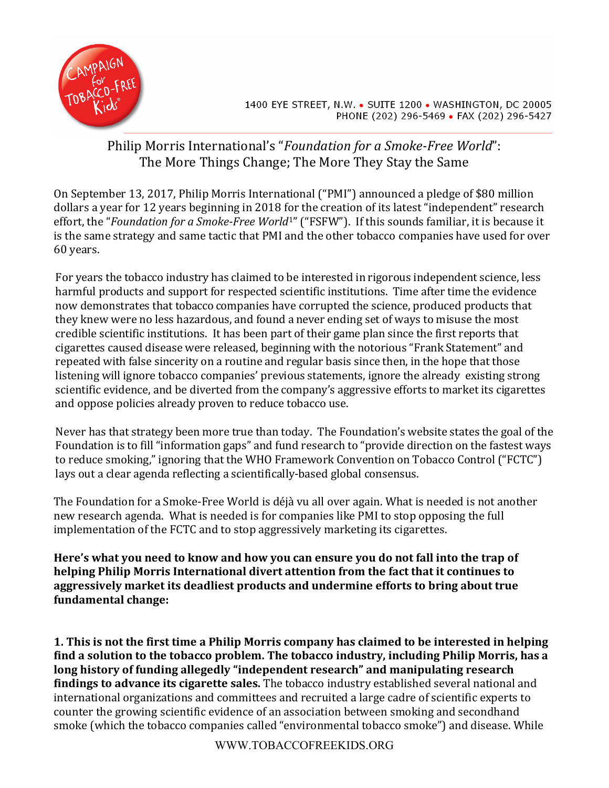

1400 EYE STREET, N.W. • SUITE 1200 • WASHINGTON, DC 20005 PHONE (202) 296-5469 · FAX (202) 296-5427

## Philip Morris International's "Foundation for a Smoke-Free World": The More Things Change; The More They Stay the Same

On September 13, 2017, Philip Morris International ("PMI") announced a pledge of \$80 million dollars a year for 12 years beginning in 2018 for the creation of its latest "independent" research effort, the "*Foundation for a Smoke-Free World<sup>1</sup>"* ("FSFW"). If this sounds familiar, it is because it is the same strategy and same tactic that PMI and the other tobacco companies have used for over 60 years.

For years the tobacco industry has claimed to be interested in rigorous independent science, less harmful products and support for respected scientific institutions. Time after time the evidence now demonstrates that tobacco companies have corrupted the science, produced products that they knew were no less hazardous, and found a never ending set of ways to misuse the most credible scientific institutions. It has been part of their game plan since the first reports that cigarettes caused disease were released, beginning with the notorious "Frank Statement" and repeated with false sincerity on a routine and regular basis since then, in the hope that those listening will ignore tobacco companies' previous statements, ignore the already existing strong scientific evidence, and be diverted from the company's aggressive efforts to market its cigarettes and oppose policies already proven to reduce tobacco use.

Never has that strategy been more true than today. The Foundation's website states the goal of the Foundation is to fill "information gaps" and fund research to "provide direction on the fastest ways to reduce smoking," ignoring that the WHO Framework Convention on Tobacco Control ("FCTC") lays out a clear agenda reflecting a scientifically-based global consensus.

The Foundation for a Smoke-Free World is déjà vu all over again. What is needed is not another new research agenda. What is needed is for companies like PMI to stop opposing the full implementation of the FCTC and to stop aggressively marketing its cigarettes.

Here's what you need to know and how you can ensure you do not fall into the trap of helping Philip Morris International divert attention from the fact that it continues to aggressively market its deadliest products and undermine efforts to bring about true **fundamental change:**

**1.** This is not the first time a Philip Morris company has claimed to be interested in helping find a solution to the tobacco problem. The tobacco industry, including Philip Morris, has a long history of funding allegedly "independent research" and manipulating research **findings to advance its cigarette sales.** The tobacco industry established several national and international organizations and committees and recruited a large cadre of scientific experts to counter the growing scientific evidence of an association between smoking and secondhand smoke (which the tobacco companies called "environmental tobacco smoke") and disease. While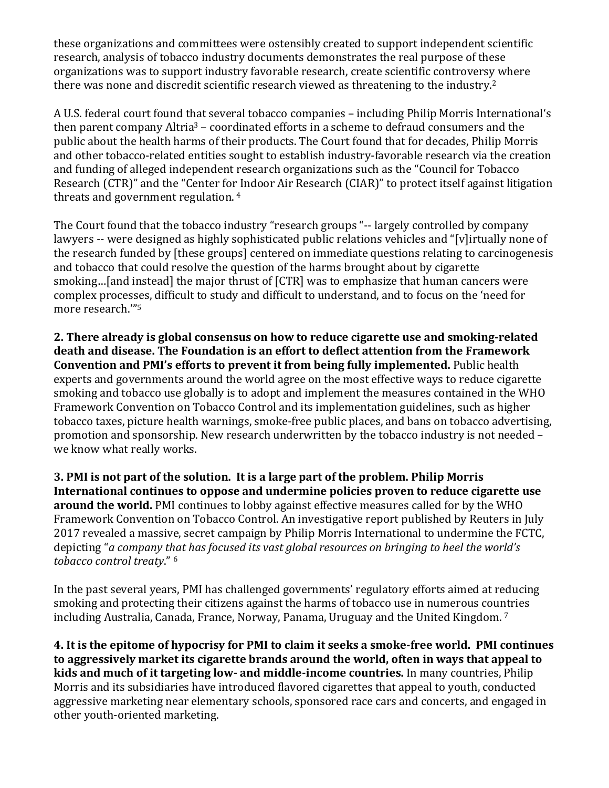these organizations and committees were ostensibly created to support independent scientific research, analysis of tobacco industry documents demonstrates the real purpose of these organizations was to support industry favorable research, create scientific controversy where there was none and discredit scientific research viewed as threatening to the industry.<sup>2</sup>

A U.S. federal court found that several tobacco companies - including Philip Morris International's then parent company Altria<sup>3</sup> – coordinated efforts in a scheme to defraud consumers and the public about the health harms of their products. The Court found that for decades, Philip Morris and other tobacco-related entities sought to establish industry-favorable research via the creation and funding of alleged independent research organizations such as the "Council for Tobacco" Research (CTR)" and the "Center for Indoor Air Research (CIAR)" to protect itself against litigation threats and government regulation.  $4\overline{ }$ 

The Court found that the tobacco industry "research groups "-- largely controlled by company lawyers -- were designed as highly sophisticated public relations vehicles and "[v]irtually none of the research funded by [these groups] centered on immediate questions relating to carcinogenesis and tobacco that could resolve the question of the harms brought about by cigarette smoking...[and instead] the major thrust of [CTR] was to emphasize that human cancers were complex processes, difficult to study and difficult to understand, and to focus on the 'need for more research."<sup>5</sup>

**2.** There already is global consensus on how to reduce cigarette use and smoking-related death and disease. The Foundation is an effort to deflect attention from the Framework **Convention and PMI's efforts to prevent it from being fully implemented.** Public health experts and governments around the world agree on the most effective ways to reduce cigarette smoking and tobacco use globally is to adopt and implement the measures contained in the WHO Framework Convention on Tobacco Control and its implementation guidelines, such as higher tobacco taxes, picture health warnings, smoke-free public places, and bans on tobacco advertising, promotion and sponsorship. New research underwritten by the tobacco industry is not needed we know what really works.

**3. PMI** is not part of the solution. It is a large part of the problem. Philip Morris International continues to oppose and undermine policies proven to reduce cigarette use **around the world.** PMI continues to lobby against effective measures called for by the WHO Framework Convention on Tobacco Control. An investigative report published by Reuters in July 2017 revealed a massive, secret campaign by Philip Morris International to undermine the FCTC, depicting "*a company that has focused its vast global resources on bringing to heel the world's* tobacco control treaty." <sup>6</sup>

In the past several years, PMI has challenged governments' regulatory efforts aimed at reducing smoking and protecting their citizens against the harms of tobacco use in numerous countries including Australia, Canada, France, Norway, Panama, Uruguay and the United Kingdom.<sup>7</sup>

**4.** It is the epitome of hypocrisy for PMI to claim it seeks a smoke-free world. PMI continues to aggressively market its cigarette brands around the world, often in ways that appeal to **kids and much of it targeting low- and middle-income countries.** In many countries, Philip Morris and its subsidiaries have introduced flavored cigarettes that appeal to youth, conducted aggressive marketing near elementary schools, sponsored race cars and concerts, and engaged in other youth-oriented marketing.